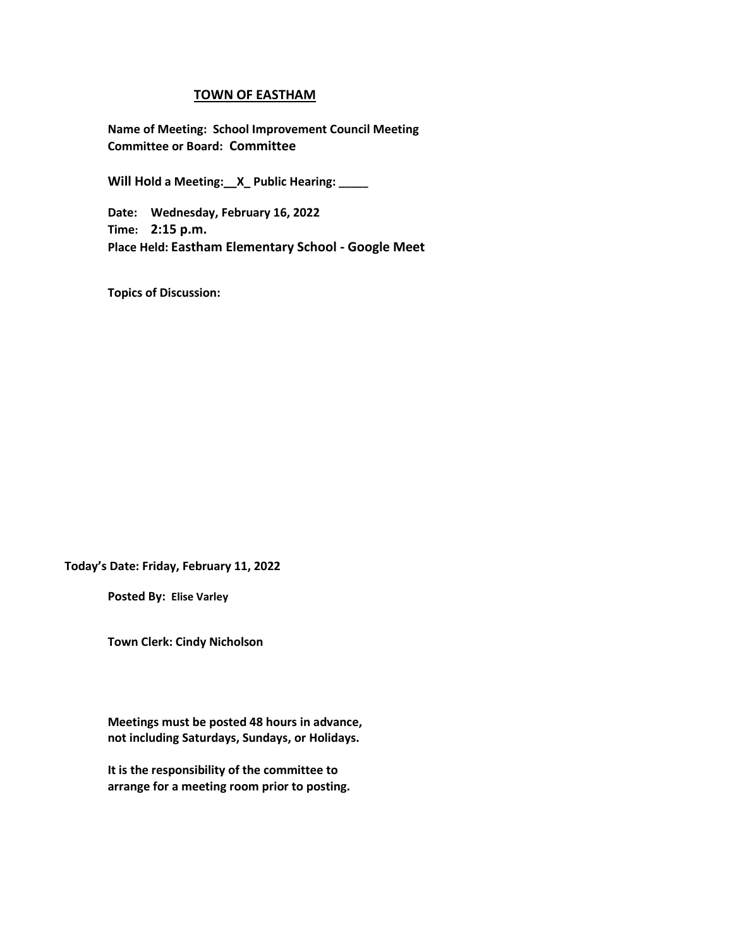#### **TOWN OF EASTHAM**

**Name of Meeting: School Improvement Council Meeting Committee or Board: Committee**

**Will Hold a Meeting:\_\_X\_ Public Hearing: \_\_\_\_\_**

**Date: Wednesday, February 16, 2022 Time: 2:15 p.m. Place Held: Eastham Elementary School - Google Meet**

**Topics of Discussion:** 

**Today's Date: Friday, February 11, 2022**

**Posted By: Elise Varley**

**Town Clerk: Cindy Nicholson**

**Meetings must be posted 48 hours in advance, not including Saturdays, Sundays, or Holidays.**

**It is the responsibility of the committee to arrange for a meeting room prior to posting.**